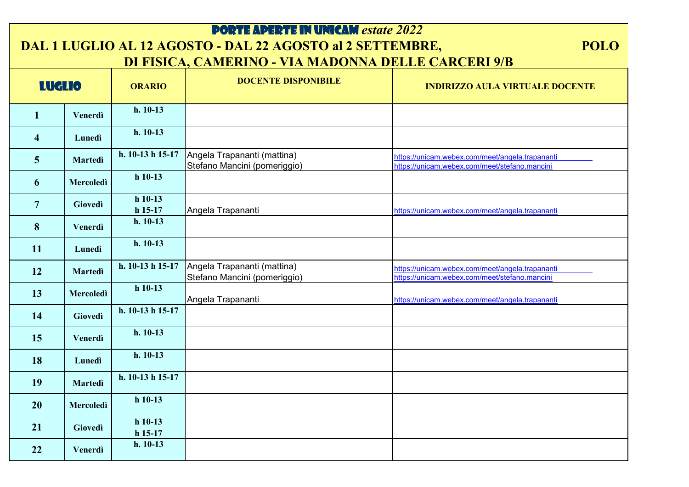| <b>PORTE APERTE IN UNICAM estate 2022</b>                                                                                       |                  |                        |                                                             |                                                                                                  |
|---------------------------------------------------------------------------------------------------------------------------------|------------------|------------------------|-------------------------------------------------------------|--------------------------------------------------------------------------------------------------|
| DAL 1 LUGLIO AL 12 AGOSTO - DAL 22 AGOSTO al 2 SETTEMBRE,<br><b>POLO</b><br>DI FISICA, CAMERINO - VIA MADONNA DELLE CARCERI 9/B |                  |                        |                                                             |                                                                                                  |
| <b>LUGLIO</b>                                                                                                                   |                  | <b>ORARIO</b>          | <b>DOCENTE DISPONIBILE</b>                                  | <b>INDIRIZZO AULA VIRTUALE DOCENTE</b>                                                           |
| 1                                                                                                                               | Venerdì          | $h. 10-13$             |                                                             |                                                                                                  |
| $\overline{\mathbf{4}}$                                                                                                         | Lunedì           | $h. 10-13$             |                                                             |                                                                                                  |
| 5 <sup>5</sup>                                                                                                                  | <b>Martedì</b>   | h. 10-13 h 15-17       | Angela Trapananti (mattina)<br>Stefano Mancini (pomeriggio) | https://unicam.webex.com/meet/angela.trapananti<br>https://unicam.webex.com/meet/stefano.mancini |
| 6                                                                                                                               | Mercoledì        | $h$ 10-13              |                                                             |                                                                                                  |
| $\overline{7}$                                                                                                                  | Giovedì          | $h$ 10-13<br>$h$ 15-17 | Angela Trapananti                                           | https://unicam.webex.com/meet/angela.trapananti                                                  |
| 8                                                                                                                               | Venerdì          | $h. 10-13$             |                                                             |                                                                                                  |
| <b>11</b>                                                                                                                       | Lunedì           | $h. 10-13$             |                                                             |                                                                                                  |
| 12                                                                                                                              | <b>Martedì</b>   | h. 10-13 h 15-17       | Angela Trapananti (mattina)<br>Stefano Mancini (pomeriggio) | https://unicam.webex.com/meet/angela.trapananti<br>https://unicam.webex.com/meet/stefano.mancini |
| 13                                                                                                                              | <b>Mercoledì</b> | $h$ 10-13              | Angela Trapananti                                           | https://unicam.webex.com/meet/angela.trapananti                                                  |
| 14                                                                                                                              | Giovedì          | h. 10-13 h 15-17       |                                                             |                                                                                                  |
| 15                                                                                                                              | Venerdì          | $h. 10-13$             |                                                             |                                                                                                  |
| 18                                                                                                                              | Lunedì           | $h. 10-13$             |                                                             |                                                                                                  |
| <b>19</b>                                                                                                                       | <b>Martedì</b>   | h. $10-13$ h $15-17$   |                                                             |                                                                                                  |
| <b>20</b>                                                                                                                       | Mercoledì        | $h$ 10-13              |                                                             |                                                                                                  |
| 21                                                                                                                              | Giovedì          | $h$ 10-13<br>$h$ 15-17 |                                                             |                                                                                                  |
| 22                                                                                                                              | Venerdì          | $h. 10-13$             |                                                             |                                                                                                  |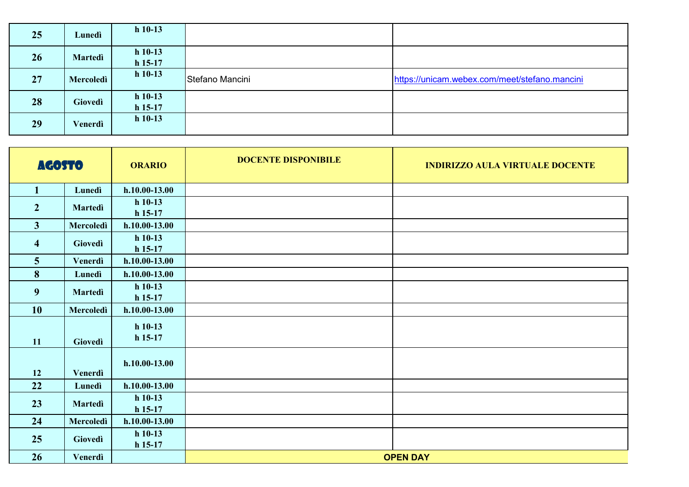| 25 | Lunedì         | $h$ 10-13              |                 |                                               |
|----|----------------|------------------------|-----------------|-----------------------------------------------|
| 26 | <b>Martedi</b> | $h$ 10-13<br>$h$ 15-17 |                 |                                               |
| 27 | Mercoledì      | $h$ 10-13              | Stefano Mancini | https://unicam.webex.com/meet/stefano.mancini |
| 28 | Giovedì        | $h$ 10-13<br>$h$ 15-17 |                 |                                               |
| 29 | Venerdì        | $h$ 10-13              |                 |                                               |

| <b>AGOSTO</b>           |                | <b>ORARIO</b>          | <b>DOCENTE DISPONIBILE</b> | <b>INDIRIZZO AULA VIRTUALE DOCENTE</b> |
|-------------------------|----------------|------------------------|----------------------------|----------------------------------------|
| $\mathbf{1}$            | Lunedì         | $h.10.00-13.00$        |                            |                                        |
| $\overline{2}$          | <b>Martedì</b> | $h$ 10-13<br>$h$ 15-17 |                            |                                        |
| 3                       | Mercoledì      | $h.10.00-13.00$        |                            |                                        |
| $\overline{\mathbf{4}}$ | Giovedì        | $h$ 10-13<br>$h$ 15-17 |                            |                                        |
| $5\overline{)}$         | Venerdì        | $h.10.00 - 13.00$      |                            |                                        |
| 8                       | Lunedì         | $h.10.00 - 13.00$      |                            |                                        |
| 9                       | Martedì        | $h$ 10-13<br>$h$ 15-17 |                            |                                        |
| <b>10</b>               | Mercoledì      | $h.10.00-13.00$        |                            |                                        |
| 11                      | Giovedì        | $h$ 10-13<br>$h$ 15-17 |                            |                                        |
| 12                      | Venerdì        | $h.10.00-13.00$        |                            |                                        |
| 22                      | Lunedì         | $h.10.00 - 13.00$      |                            |                                        |
| 23                      | <b>Martedì</b> | $h$ 10-13<br>$h$ 15-17 |                            |                                        |
| 24                      | Mercoledì      | $h.10.00-13.00$        |                            |                                        |
| 25                      | Giovedì        | $h$ 10-13<br>$h$ 15-17 |                            |                                        |
| 26                      | Venerdì        |                        |                            | <b>OPEN DAY</b>                        |